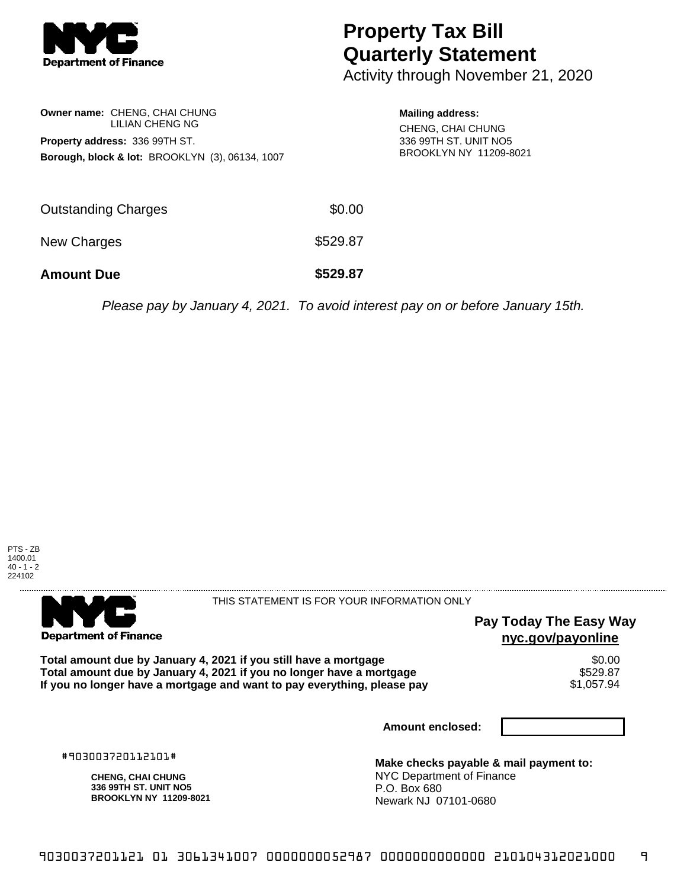

## **Property Tax Bill Quarterly Statement**

Activity through November 21, 2020

|                                                            | Owner name: CHENG, CHAI CHUNG         |  |  |  |  |
|------------------------------------------------------------|---------------------------------------|--|--|--|--|
|                                                            | LILIAN CHENG NG                       |  |  |  |  |
|                                                            | <b>Property address: 336 99TH ST.</b> |  |  |  |  |
| <b>Borough, block &amp; lot: BROOKLYN (3), 06134, 1007</b> |                                       |  |  |  |  |

**Mailing address:** CHENG, CHAI CHUNG 336 99TH ST. UNIT NO5 BROOKLYN NY 11209-8021

| <b>Amount Due</b>   | \$529.87 |
|---------------------|----------|
| New Charges         | \$529.87 |
| Outstanding Charges | \$0.00   |

Please pay by January 4, 2021. To avoid interest pay on or before January 15th.





THIS STATEMENT IS FOR YOUR INFORMATION ONLY

## **Pay Today The Easy Way nyc.gov/payonline**

Total amount due by January 4, 2021 if you still have a mortgage **\$0.00** \$0.00<br>Total amount due by January 4, 2021 if you no longer have a mortgage **Total amount due by January 4, 2021 if you no longer have a mortgage \$529.87<br>If you no longer have a mortgage and want to pay everything, please pay \$1,057.94** If you no longer have a mortgage and want to pay everything, please pay

**Amount enclosed:**

#903003720112101#

**CHENG, CHAI CHUNG 336 99TH ST. UNIT NO5 BROOKLYN NY 11209-8021**

**Make checks payable & mail payment to:** NYC Department of Finance P.O. Box 680 Newark NJ 07101-0680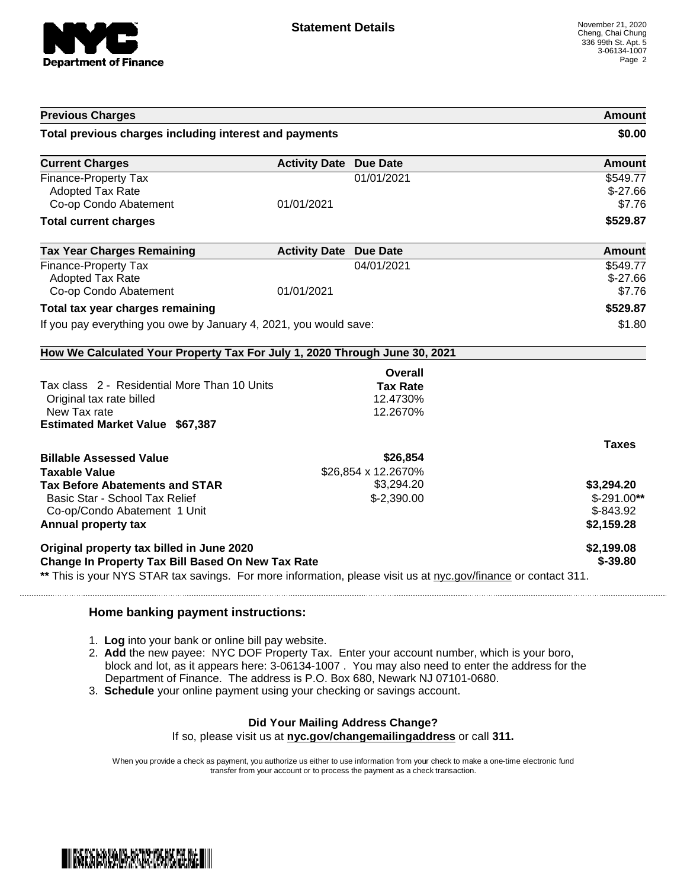

| <b>Previous Charges</b>                                                                                                                                                                                          | Amount                        |                                                    |                                                        |
|------------------------------------------------------------------------------------------------------------------------------------------------------------------------------------------------------------------|-------------------------------|----------------------------------------------------|--------------------------------------------------------|
| Total previous charges including interest and payments                                                                                                                                                           | \$0.00                        |                                                    |                                                        |
| <b>Current Charges</b>                                                                                                                                                                                           | <b>Activity Date Due Date</b> |                                                    | <b>Amount</b>                                          |
| <b>Finance-Property Tax</b><br><b>Adopted Tax Rate</b><br>Co-op Condo Abatement                                                                                                                                  | 01/01/2021                    | 01/01/2021                                         | \$549.77<br>$$-27.66$<br>\$7.76                        |
| <b>Total current charges</b>                                                                                                                                                                                     |                               |                                                    | \$529.87                                               |
| <b>Tax Year Charges Remaining</b>                                                                                                                                                                                | <b>Activity Date Due Date</b> |                                                    | <b>Amount</b>                                          |
| <b>Finance-Property Tax</b><br><b>Adopted Tax Rate</b><br>Co-op Condo Abatement                                                                                                                                  | 01/01/2021                    | 04/01/2021                                         | \$549.77<br>$$-27.66$<br>\$7.76                        |
| Total tax year charges remaining                                                                                                                                                                                 | \$529.87                      |                                                    |                                                        |
| If you pay everything you owe by January 4, 2021, you would save:                                                                                                                                                | \$1.80                        |                                                    |                                                        |
| How We Calculated Your Property Tax For July 1, 2020 Through June 30, 2021                                                                                                                                       |                               |                                                    |                                                        |
| Tax class 2 - Residential More Than 10 Units<br>Original tax rate billed<br>New Tax rate<br><b>Estimated Market Value \$67,387</b>                                                                               |                               | Overall<br><b>Tax Rate</b><br>12.4730%<br>12.2670% |                                                        |
| <b>Billable Assessed Value</b>                                                                                                                                                                                   |                               | \$26,854                                           | <b>Taxes</b>                                           |
| <b>Taxable Value</b><br><b>Tax Before Abatements and STAR</b><br>Basic Star - School Tax Relief<br>Co-op/Condo Abatement 1 Unit<br><b>Annual property tax</b>                                                    |                               | \$26,854 x 12.2670%<br>\$3,294.20<br>$$-2,390.00$  | \$3,294.20<br>$$-291.00**$<br>$$-843.92$<br>\$2,159.28 |
| Original property tax billed in June 2020<br>Change In Property Tax Bill Based On New Tax Rate<br>** This is your NYS STAR tax savings. For more information, please visit us at nyc.gov/finance or contact 311. | \$2,199.08<br>$$ -39.80$      |                                                    |                                                        |

## **Home banking payment instructions:**

- 1. **Log** into your bank or online bill pay website.
- 2. **Add** the new payee: NYC DOF Property Tax. Enter your account number, which is your boro, block and lot, as it appears here: 3-06134-1007 . You may also need to enter the address for the Department of Finance. The address is P.O. Box 680, Newark NJ 07101-0680.
- 3. **Schedule** your online payment using your checking or savings account.

## **Did Your Mailing Address Change?**

If so, please visit us at **nyc.gov/changemailingaddress** or call **311.**

When you provide a check as payment, you authorize us either to use information from your check to make a one-time electronic fund transfer from your account or to process the payment as a check transaction.